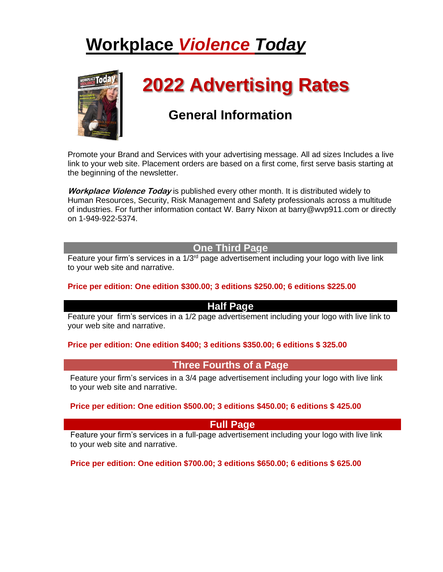# **Workplace** *Violence Today*



# **2022 Advertising Rates**

# **General Information**

Promote your Brand and Services with your advertising message. All ad sizes Includes a live link to your web site. Placement orders are based on a first come, first serve basis starting at the beginning of the newsletter.

**Workplace Violence Today** is published every other month. It is distributed widely to Human Resources, Security, Risk Management and Safety professionals across a multitude of industries. For further information contact W. Barry Nixon at barry@wvp911.com or directly on 1-949-922-5374.

# **One Third Page**

Feature your firm's services in a 1/3<sup>rd</sup> page advertisement including your logo with live link to your web site and narrative.

# **Price per edition: One edition \$300.00; 3 editions \$250.00; 6 editions \$225.00**

# **Half Page**

Feature your firm's services in a 1/2 page advertisement including your logo with live link to your web site and narrative.

# **Price per edition: One edition \$400; 3 editions \$350.00; 6 editions \$ 325.00**

# **Three Fourths of a Page**

Feature your firm's services in a 3/4 page advertisement including your logo with live link to your web site and narrative.

#### **Price per edition: One edition \$500.00; 3 editions \$450.00; 6 editions \$ 425.00**

# **Full Page**

Feature your firm's services in a full-page advertisement including your logo with live link to your web site and narrative.

# **Price per edition: One edition \$700.00; 3 editions \$650.00; 6 editions \$ 625.00**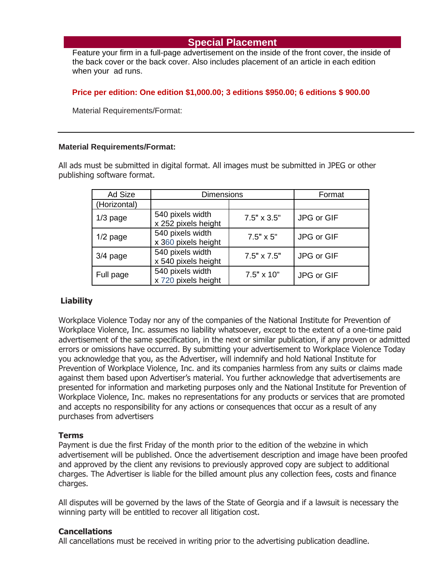# **Special Placement**

Feature your firm in a full-page advertisement on the inside of the front cover, the inside of the back cover or the back cover. Also includes placement of an article in each edition when your ad runs.

#### **Price per edition: One edition \$1,000.00; 3 editions \$950.00; 6 editions \$ 900.00**

Material Requirements/Format:

#### **Material Requirements/Format:**

All ads must be submitted in digital format. All images must be submitted in JPEG or other publishing software format.

| Ad Size      | <b>Dimensions</b>                       |                    | Format     |
|--------------|-----------------------------------------|--------------------|------------|
| (Horizontal) |                                         |                    |            |
| $1/3$ page   | 540 pixels width<br>x 252 pixels height | $7.5" \times 3.5"$ | JPG or GIF |
| $1/2$ page   | 540 pixels width<br>x 360 pixels height | $7.5" \times 5"$   | JPG or GIF |
| $3/4$ page   | 540 pixels width<br>x 540 pixels height | $7.5" \times 7.5"$ | JPG or GIF |
| Full page    | 540 pixels width<br>x 720 pixels height | $7.5" \times 10"$  | JPG or GIF |

# **Liability**

Workplace Violence Today nor any of the companies of the National Institute for Prevention of Workplace Violence, Inc. assumes no liability whatsoever, except to the extent of a one-time paid advertisement of the same specification, in the next or similar publication, if any proven or admitted errors or omissions have occurred. By submitting your advertisement to Workplace Violence Today you acknowledge that you, as the Advertiser, will indemnify and hold National Institute for Prevention of Workplace Violence, Inc. and its companies harmless from any suits or claims made against them based upon Advertiser's material. You further acknowledge that advertisements are presented for information and marketing purposes only and the National Institute for Prevention of Workplace Violence, Inc. makes no representations for any products or services that are promoted and accepts no responsibility for any actions or consequences that occur as a result of any purchases from advertisers

# **Terms**

Payment is due the first Friday of the month prior to the edition of the webzine in which advertisement will be published. Once the advertisement description and image have been proofed and approved by the client any revisions to previously approved copy are subject to additional charges. The Advertiser is liable for the billed amount plus any collection fees, costs and finance charges.

All disputes will be governed by the laws of the State of Georgia and if a lawsuit is necessary the winning party will be entitled to recover all litigation cost.

#### **Cancellations**

All cancellations must be received in writing prior to the advertising publication deadline.